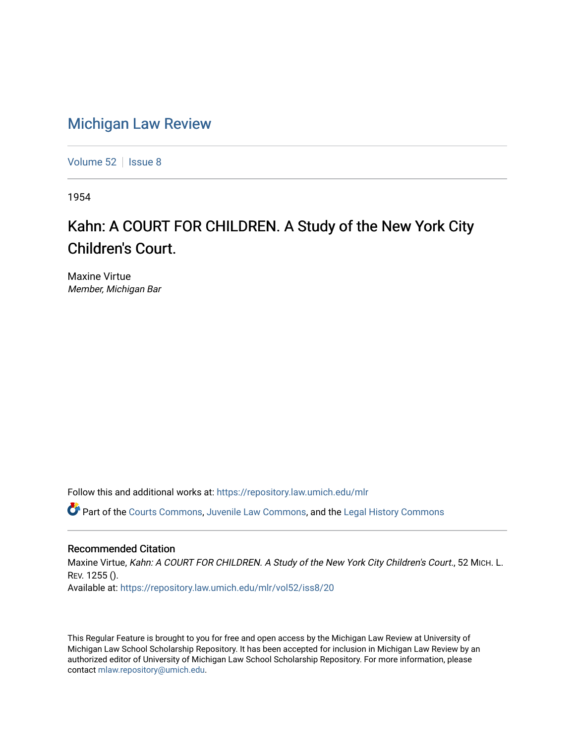# [Michigan Law Review](https://repository.law.umich.edu/mlr)

[Volume 52](https://repository.law.umich.edu/mlr/vol52) | [Issue 8](https://repository.law.umich.edu/mlr/vol52/iss8)

1954

# Kahn: A COURT FOR CHILDREN. A Study of the New York City Children's Court.

Maxine Virtue Member, Michigan Bar

Follow this and additional works at: [https://repository.law.umich.edu/mlr](https://repository.law.umich.edu/mlr?utm_source=repository.law.umich.edu%2Fmlr%2Fvol52%2Fiss8%2F20&utm_medium=PDF&utm_campaign=PDFCoverPages) 

Part of the [Courts Commons,](http://network.bepress.com/hgg/discipline/839?utm_source=repository.law.umich.edu%2Fmlr%2Fvol52%2Fiss8%2F20&utm_medium=PDF&utm_campaign=PDFCoverPages) [Juvenile Law Commons](http://network.bepress.com/hgg/discipline/851?utm_source=repository.law.umich.edu%2Fmlr%2Fvol52%2Fiss8%2F20&utm_medium=PDF&utm_campaign=PDFCoverPages), and the [Legal History Commons](http://network.bepress.com/hgg/discipline/904?utm_source=repository.law.umich.edu%2Fmlr%2Fvol52%2Fiss8%2F20&utm_medium=PDF&utm_campaign=PDFCoverPages)

### Recommended Citation

Maxine Virtue, Kahn: A COURT FOR CHILDREN. A Study of the New York City Children's Court., 52 MICH. L. REV. 1255 (). Available at: [https://repository.law.umich.edu/mlr/vol52/iss8/20](https://repository.law.umich.edu/mlr/vol52/iss8/20?utm_source=repository.law.umich.edu%2Fmlr%2Fvol52%2Fiss8%2F20&utm_medium=PDF&utm_campaign=PDFCoverPages) 

This Regular Feature is brought to you for free and open access by the Michigan Law Review at University of Michigan Law School Scholarship Repository. It has been accepted for inclusion in Michigan Law Review by an authorized editor of University of Michigan Law School Scholarship Repository. For more information, please contact [mlaw.repository@umich.edu](mailto:mlaw.repository@umich.edu).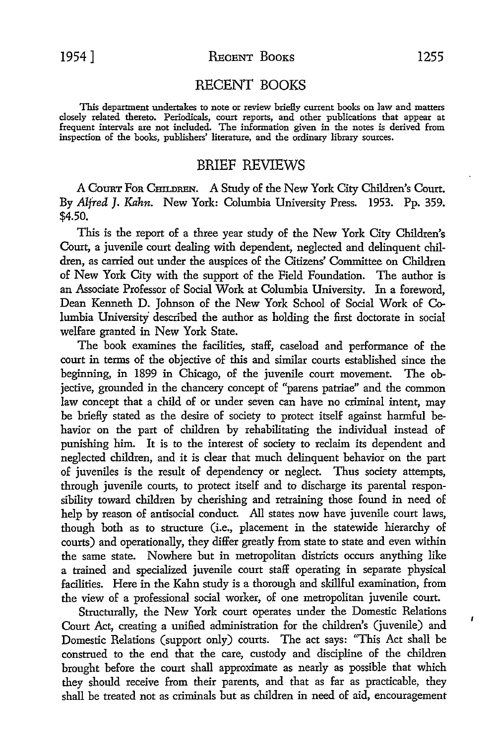## RECENT BOOKS

This departtnent undertakes to note or review briefly current books on law and matters closely related thereto. Periodicals, court reports, and other publications that appear at frequent intervals are not included. The information given in the notes is derived from inspection of the books, publishers' literature, and the ordinary library sources.

#### BRIEF REVIEWS

A CoURT FoR CHILDREN. A Study of the New York City Children's Court. By *Alfred ]. Kahn.* New York: Columbia University Press. 1953. Pp. 359. \$4.50.

This is the report of a three year study of the New York City Children's Court, a juvenile court dealing with dependent, neglected and delinquent children, as carried out under the auspices of the Citizens' Committee on Children of New York City with the support of the Field Foundation. The author is an Associate Professor of Social Work at Columbia University. In a foreword, Dean Kenneth D. Johnson of the New York School of Social Work of Columbia University described the author as holding the first doctorate in social welfare granted in New York State.

The book examines the facilities, staff, caseload and performance of the court in terms of the objective of this and similar courts established since the beginning, in 1899 in Chicago, of the juvenile court movement. The objective, grounded in the chancery concept of "parens patriae" and the common law concept that a child of or under seven can have no criminal intent, may be briefly stated as the desire of society to protect itself against harmful behavior on the part of children by rehabilitating the individual instead of punishing him. It is to the interest of society to reclaim its dependent and neglected children, and it is clear that much delinquent behavior on the part of juveniles is the result of dependency or neglect. Thus society attempts, through juvenile courts, to protect itself and to discharge its parental responsibility toward children by cherishing and retraining those found in need of help by reason of antisocial conduct. All states now have juvenile court laws, though both as to structure (i.e., placement in the statewide hierarchy of courts) and operationally, they differ greatly from state to state and even within the same state. Nowhere but in metropolitan districts occurs anything like a trained and specialized juvenile court staff operating in separate physical facilities. Here in the Kahn study is a thorough and skillful examination, from the view of a professional social worker, of one metropolitan juvenile court.

Structurally, the New York court operates under the Domestic Relations Court Act, creating a unified administration for the children's (juvenile) and Domestic Relations (support only) courts. The act says: ''This Act shall be construed to the end that the care, custody and discipline of the children brought before the court shall approximate as nearly as possible that which they should receive from their parents, and that as far as practicable, they shall be treated not as criminals but as children in need of aid, encouragement

 $\mathbf{r}$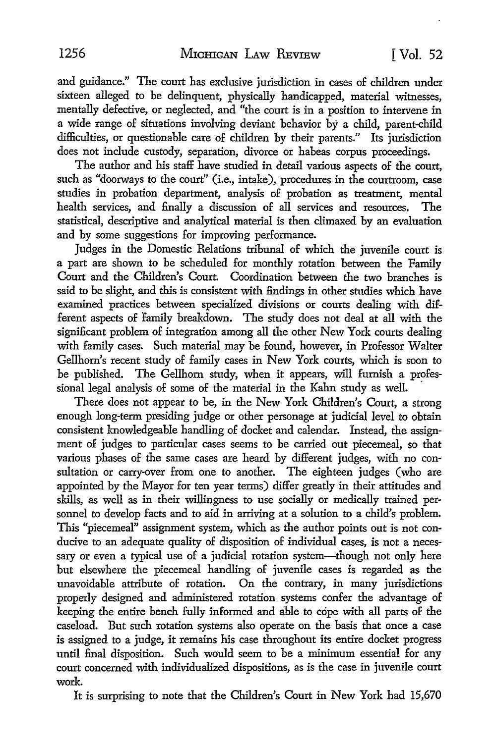and guidance." The court has exclusive jurisdiction in cases of children under sixteen alleged *to* be delinquent, physically handicapped, material witnesses, mentally defective, or neglected, and "the court is in a position to intervene in a wide range of situations involving deviant behavior by a child, parent-child difficulties, or questionable care of children by their parents." Its jurisdiction does not include custody, separation, divorce or habeas corpus proceedings.

The author and his staff have studied in detail various aspects of the court, such as "doorways to the court" (i.e., intake), procedures in the courtroom, case studies in probation department, analysis of probation as treatment, mental health services, and finally a discussion of all services and resources. The statistical, descriptive and analytical material is then climaxed by an evaluation and by some suggestions for improving performance.

Judges in the Domestic Relations tribunal of which the juvenile court is a part are shown to be scheduled for monthly rotation between the Family Court and the Children's Court. Coordination between the two branches is said *to* be slight, and this is consistent with findings in other studies which have examined practices between specialized divisions or courts dealing with different aspects of Family breakdown. The study does not deal at all with the significant problem of integration among all the other New York courts dealing with family cases. Such material may be found, however, in Professor Walter Gellhom's recent study of family cases in New York courts, which is soon *to*  be published. The Gellhom study, when it appears, will furnish a professional legal analysis of some of the material in the Kahn study as well.

There does not appear to be, in the New York Children's Court, a strong enough long-term presiding judge or other personage at judicial level *to* obtain consistent knowledgeable handling of docket and calendar. Instead, the assignment of judges *to* particular cases seems to be carried out piecemeal, so that various phases of the same cases are heard by different judges, with no consultation or carry-over from one to another. The eighteen judges (who are appointed by the Mayor for ten year terms) differ greatly in their attitudes and skills, as well as in their willingness *to* use socially or medically trained personnel *to* develop facts and to aid in arriving at a solution *to* a child's problem. This "piecemeal" assignment system, which as the author points out is not conducive *to* an adequate quality of disposition of individual cases, is not a necessary or even a typical use of a judicial rotation system-though not only here but elsewhere the piecemeal handling of juvenile cases is regarded as the unavoidable attribute of rotation. On the contrary, in many jurisdictions properly designed and administered rotation systems confer the advantage of keeping the entire bench fully informed and able to ccipe with all parts of the caseload. But such rotation systems also operate on the basis that once a case is assigned to a judge, it remains his case throughout its entire docket progress until final disposition. Such would seem *to* be a minimum essential for any court concerned with individualized dispositions, as is the case in juvenile court work.

It is surprising *to* note that the Children's Court in New York had 15,670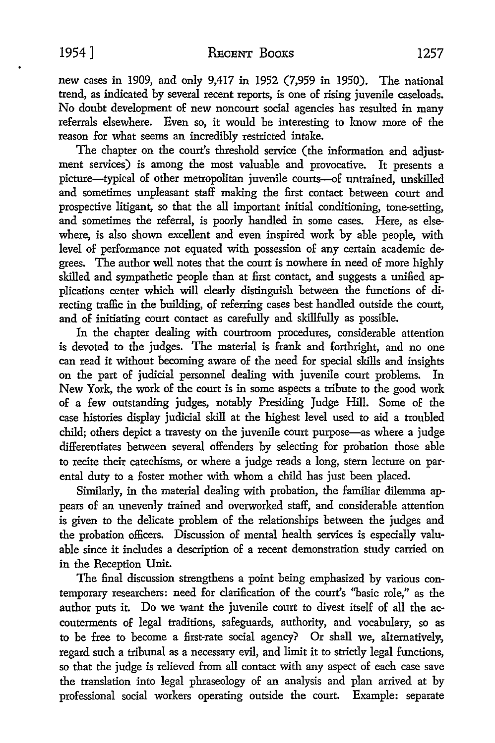new cases in 1909, and only 9,417 in 1952 (7,959 in 1950). The national trend, as indicated by several recent reports, is one of rising juvenile caseloads. No doubt development of new noncourt social agencies has resulted in many referrals elsewhere. Even so, it would be interesting to know more of the reason for what seems an incredibly restricted intake.

The chapter on the court's threshold service (the information and adjustment services) is among the most valuable and provocative. It presents a picture-typical of other metropolitan juvenile courts-of untrained, unskilled and sometimes unpleasant staff making the first contact between court and prospective litigant, so that the all important initial conditioning, tone-setting, and sometimes the referral, is poorly handled in some cases. Here, as elsewhere, is also shown excellent and even inspired work by able people, with level of performance not equated with possession of any certain academic degrees. The author well notes that the court is nowhere in need of more highly skilled and sympathetic people than at first contact, and suggests a unified applications center which will clearly distinguish between the functions of directing traffic in the building, of referring cases best handled outside the court, and of initiating court contact as carefully and skillfully as possible.

In the chapter dealing with courtroom procedures, considerable attention is devoted to the judges. The material is frank and forthright, and no one can read it without becoming aware of the need for special skills and insights on the part of judicial personnel dealing with juvenile court problems. In New York, the work of the court is in some aspects a tribute to the good work of a few outstanding judges, notably Presiding Judge Hill. Some of the case histories display judicial skill at the highest level used to aid a troubled child; others depict a travesty on the juvenile court purpose—as where a judge differentiates between several offenders by selecting for probation those able to recite their catechisms, or where a judge reads a long, stern lecture on parental duty to a foster mother with whom a child has just been placed.

Similarly, in the material dealing with probation, the familiar dilemma appears of an unevenly trained and overworked staff, and considerable attention is given to the delicate problem of the relationships between the judges and the probation officers. Discussion of mental health services is especially valuable since it includes a description of a recent demonstration study carried on in the Reception Unit.

The final discussion strengthens a point being emphasized by various contemporary researchers: need for clarification of the court's ''basic role," as the author puts it. Do we want the juvenile court to divest itself of all the accouterments of legal traditions, safeguards, authority, and vocabulary, so as to be free to become a first-rate social agency? Or shall we, alternatively, regard such a tribunal as a necessary evil, and limit it to strictly legal functions, so that the judge is relieved from all contact with any aspect of each case save the translation into legal phraseology of an analysis and plan arrived at by professional social workers operating outside the court. Example: separate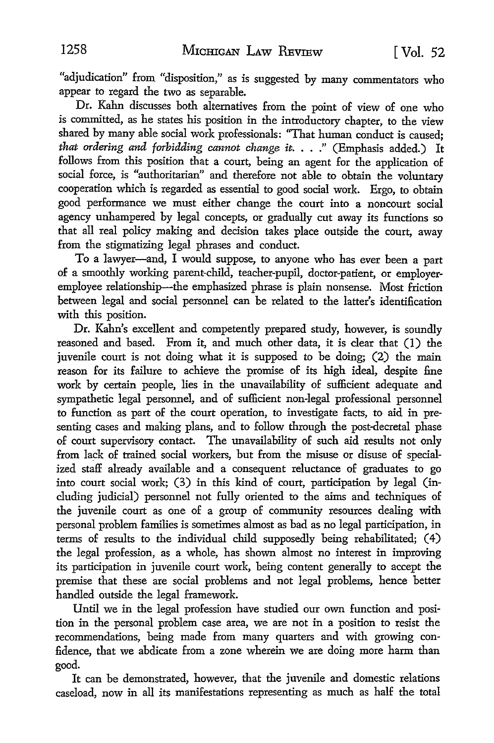"adjudication" from "disposition," as is suggested by many commentators who appear to regard the two as separable.

Dr. Kahn discusses both alternatives from the point of view of one who is committed, as he states his position in the introductory chapter, to the view shared by many able social work professionals: "That human conduct is caused; *that ordering and forbidding cannot change it.* . . ." (Emphasis added.) It follows from this position that a court, being an agent for the application of social force, is "authoritarian" and therefore not able to obtain the voluntary cooperation which is regarded as essential to good social work. Ergo, to obtain good performance we must either change the court into a noncourt social agency unhampered by legal concepts, or gradually cut away its functions so that all real policy making and decision takes place outside the court, away from the stigmatizing legal phrases and conduct.

To a lawyer-and, I would suppose, to anyone who has ever been a part of a smoothly working parent-child, teacher-pupil, doctor-patient, or employeremployee relationship-the emphasized phrase is plain nonsense. Most friction between legal and social personnel can be related to the latter's identification with this position.

Dr. Kahn's excellent and competently prepared study, however, is soundly reasoned and based. From it, and much other data, it is clear that (I) the juvenile court is not doing what it is supposed to be doing; (2) the main reason for its failure to achieve the promise of its high ideal, despite fine work by certain people, lies in the unavailability of sufficient adequate and sympathetic legal personnel, and of sufficient non-legal professional personnel to function as part of the court operation, to investigate facts, to aid in presenting cases and making plans, and to follow through the post-decretal phase of court supervisory contact. The unavailability of such aid results not only from lack of trained social workers, but from the misuse or disuse of specialized staff already available and a consequent reluctance of graduates to go into court social work; (3) in this kind of court, participation by legal (including judicial) personnel not fully oriented to the aims and techniques of the juvenile court as one of a group of community resources dealing with personal problem families is sometimes almost as bad as no legal participation, in terms of results to the individual child supposedly being rehabilitated; ( 4) the legal profession, as a whole, has shown almost no interest in improving its participation in juvenile court work, being content generally to accept the premise that these are social problems and not legal problems, hence better handled outside the legal framework.

Until we in the legal profession have studied our own function and position in the personal problem case area, we are not in a position to resist the recommendations, being made from many quarters and with growing confidence, that we abdicate from a zone wherein we are doing more harm than good.

It can be demonstrated, however, that the juvenile and domestic relations caseload, now in all its manifestations representing as much as half the total